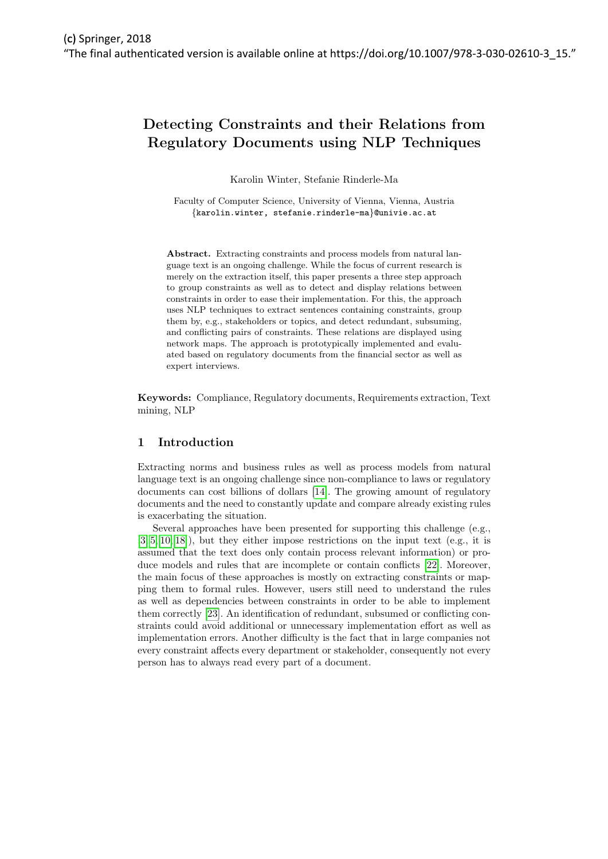# Detecting Constraints and their Relations from Regulatory Documents using NLP Techniques

Karolin Winter, Stefanie Rinderle-Ma

Faculty of Computer Science, University of Vienna, Vienna, Austria {karolin.winter, stefanie.rinderle-ma}@univie.ac.at

Abstract. Extracting constraints and process models from natural language text is an ongoing challenge. While the focus of current research is merely on the extraction itself, this paper presents a three step approach to group constraints as well as to detect and display relations between constraints in order to ease their implementation. For this, the approach uses NLP techniques to extract sentences containing constraints, group them by, e.g., stakeholders or topics, and detect redundant, subsuming, and conflicting pairs of constraints. These relations are displayed using network maps. The approach is prototypically implemented and evaluated based on regulatory documents from the financial sector as well as expert interviews.

Keywords: Compliance, Regulatory documents, Requirements extraction, Text mining, NLP

# 1 Introduction

Extracting norms and business rules as well as process models from natural language text is an ongoing challenge since non-compliance to laws or regulatory documents can cost billions of dollars [\[14\]](#page-17-0). The growing amount of regulatory documents and the need to constantly update and compare already existing rules is exacerbating the situation.

Several approaches have been presented for supporting this challenge (e.g., [\[3,](#page-16-0) [5,](#page-16-1) [10,](#page-16-2) [18\]](#page-17-1)), but they either impose restrictions on the input text (e.g., it is assumed that the text does only contain process relevant information) or produce models and rules that are incomplete or contain conflicts [\[22\]](#page-17-2). Moreover, the main focus of these approaches is mostly on extracting constraints or mapping them to formal rules. However, users still need to understand the rules as well as dependencies between constraints in order to be able to implement them correctly [\[23\]](#page-17-3). An identification of redundant, subsumed or conflicting constraints could avoid additional or unnecessary implementation effort as well as implementation errors. Another difficulty is the fact that in large companies not every constraint affects every department or stakeholder, consequently not every person has to always read every part of a document.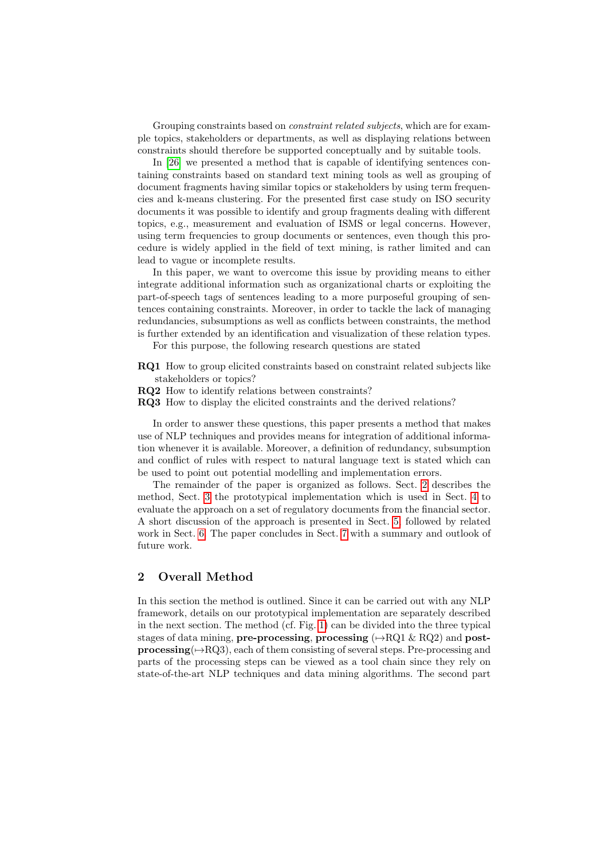Grouping constraints based on *constraint related subjects*, which are for example topics, stakeholders or departments, as well as displaying relations between constraints should therefore be supported conceptually and by suitable tools.

In [\[26\]](#page-17-4) we presented a method that is capable of identifying sentences containing constraints based on standard text mining tools as well as grouping of document fragments having similar topics or stakeholders by using term frequencies and k-means clustering. For the presented first case study on ISO security documents it was possible to identify and group fragments dealing with different topics, e.g., measurement and evaluation of ISMS or legal concerns. However, using term frequencies to group documents or sentences, even though this procedure is widely applied in the field of text mining, is rather limited and can lead to vague or incomplete results.

In this paper, we want to overcome this issue by providing means to either integrate additional information such as organizational charts or exploiting the part-of-speech tags of sentences leading to a more purposeful grouping of sentences containing constraints. Moreover, in order to tackle the lack of managing redundancies, subsumptions as well as conflicts between constraints, the method is further extended by an identification and visualization of these relation types.

For this purpose, the following research questions are stated

- RQ1 How to group elicited constraints based on constraint related subjects like stakeholders or topics?
- RQ2 How to identify relations between constraints?
- RQ3 How to display the elicited constraints and the derived relations?

In order to answer these questions, this paper presents a method that makes use of NLP techniques and provides means for integration of additional information whenever it is available. Moreover, a definition of redundancy, subsumption and conflict of rules with respect to natural language text is stated which can be used to point out potential modelling and implementation errors.

The remainder of the paper is organized as follows. Sect. [2](#page-1-0) describes the method, Sect. [3](#page-9-0) the prototypical implementation which is used in Sect. [4](#page-10-0) to evaluate the approach on a set of regulatory documents from the financial sector. A short discussion of the approach is presented in Sect. [5,](#page-14-0) followed by related work in Sect. [6.](#page-15-0) The paper concludes in Sect. [7](#page-15-1) with a summary and outlook of future work.

## <span id="page-1-0"></span>2 Overall Method

In this section the method is outlined. Since it can be carried out with any NLP framework, details on our prototypical implementation are separately described in the next section. The method (cf. Fig. [1\)](#page-2-0) can be divided into the three typical stages of data mining, **pre-processing**, **processing** ( $\rightarrow$ RQ1 & RQ2) and **postprocessing** $(\rightarrow RQ3)$ , each of them consisting of several steps. Pre-processing and parts of the processing steps can be viewed as a tool chain since they rely on state-of-the-art NLP techniques and data mining algorithms. The second part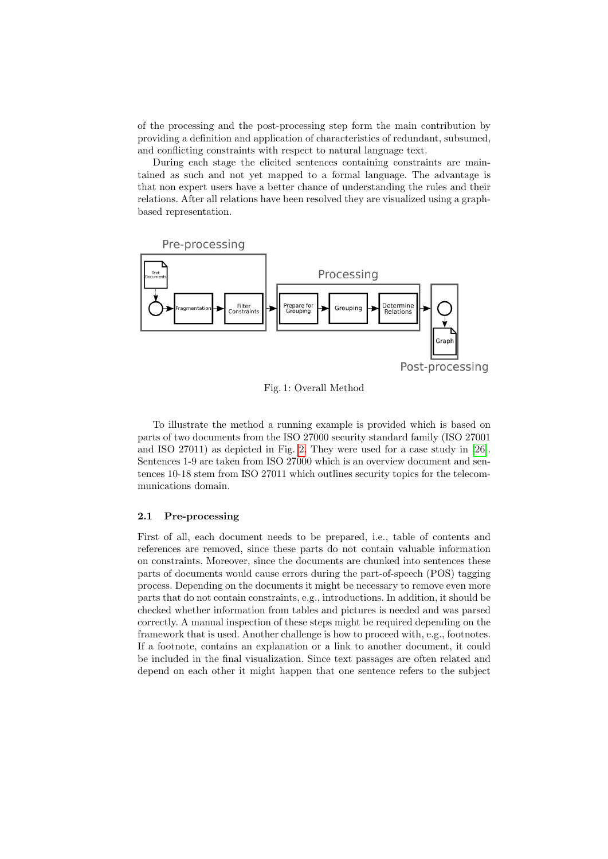of the processing and the post-processing step form the main contribution by providing a definition and application of characteristics of redundant, subsumed, and conflicting constraints with respect to natural language text.

During each stage the elicited sentences containing constraints are maintained as such and not yet mapped to a formal language. The advantage is that non expert users have a better chance of understanding the rules and their relations. After all relations have been resolved they are visualized using a graphbased representation.

<span id="page-2-0"></span>

Fig. 1: Overall Method

To illustrate the method a running example is provided which is based on parts of two documents from the ISO 27000 security standard family (ISO 27001 and ISO 27011) as depicted in Fig. [2.](#page-3-0) They were used for a case study in [\[26\]](#page-17-4). Sentences 1-9 are taken from ISO 27000 which is an overview document and sentences 10-18 stem from ISO 27011 which outlines security topics for the telecommunications domain.

#### <span id="page-2-1"></span>2.1 Pre-processing

First of all, each document needs to be prepared, i.e., table of contents and references are removed, since these parts do not contain valuable information on constraints. Moreover, since the documents are chunked into sentences these parts of documents would cause errors during the part-of-speech (POS) tagging process. Depending on the documents it might be necessary to remove even more parts that do not contain constraints, e.g., introductions. In addition, it should be checked whether information from tables and pictures is needed and was parsed correctly. A manual inspection of these steps might be required depending on the framework that is used. Another challenge is how to proceed with, e.g., footnotes. If a footnote, contains an explanation or a link to another document, it could be included in the final visualization. Since text passages are often related and depend on each other it might happen that one sentence refers to the subject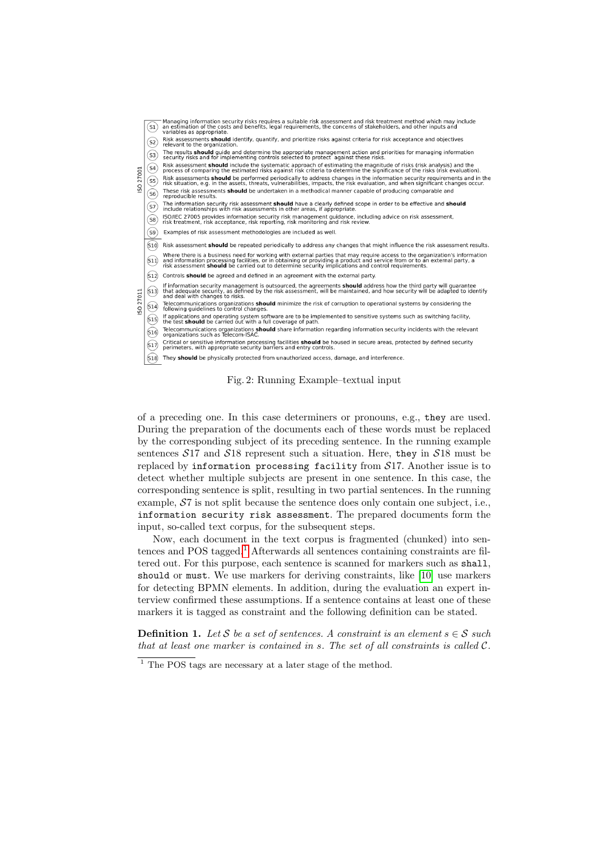<span id="page-3-0"></span>

Fig. 2: Running Example–textual input

of a preceding one. In this case determiners or pronouns, e.g., they are used. During the preparation of the documents each of these words must be replaced by the corresponding subject of its preceding sentence. In the running example sentences  $S17$  and  $S18$  represent such a situation. Here, they in  $S18$  must be replaced by information processing facility from  $S17$ . Another issue is to detect whether multiple subjects are present in one sentence. In this case, the corresponding sentence is split, resulting in two partial sentences. In the running example, S7 is not split because the sentence does only contain one subject, i.e., information security risk assessment. The prepared documents form the input, so-called text corpus, for the subsequent steps.

Now, each document in the text corpus is fragmented (chunked) into sen-tences and POS tagged.<sup>[1](#page-3-1)</sup> Afterwards all sentences containing constraints are filtered out. For this purpose, each sentence is scanned for markers such as shall, should or must. We use markers for deriving constraints, like [\[10\]](#page-16-2) use markers for detecting BPMN elements. In addition, during the evaluation an expert interview confirmed these assumptions. If a sentence contains at least one of these markers it is tagged as constraint and the following definition can be stated.

**Definition 1.** Let S be a set of sentences. A constraint is an element  $s \in S$  such that at least one marker is contained in s. The set of all constraints is called C.

<span id="page-3-1"></span> $\overline{1}$  The POS tags are necessary at a later stage of the method.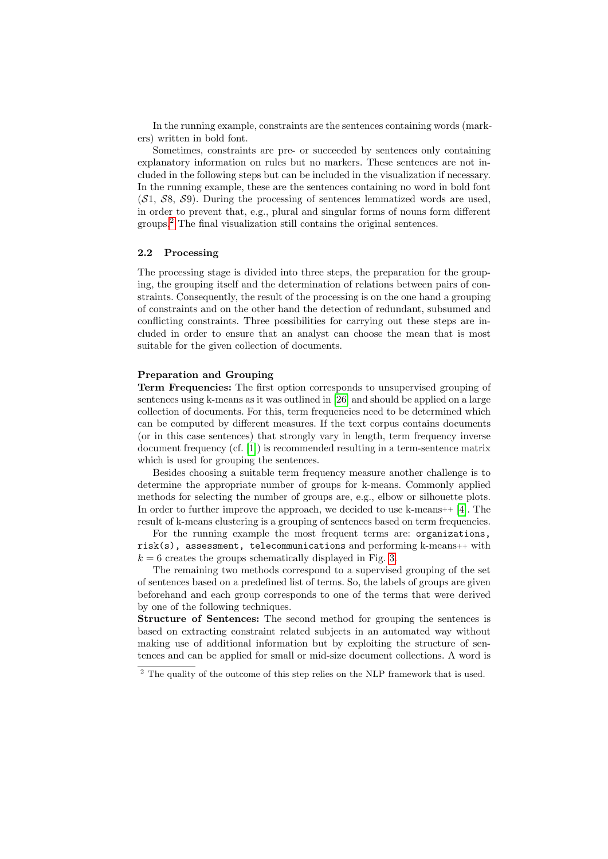In the running example, constraints are the sentences containing words (markers) written in bold font.

Sometimes, constraints are pre- or succeeded by sentences only containing explanatory information on rules but no markers. These sentences are not included in the following steps but can be included in the visualization if necessary. In the running example, these are the sentences containing no word in bold font  $(S1, S8, S9)$ . During the processing of sentences lemmatized words are used, in order to prevent that, e.g., plural and singular forms of nouns form different groups.[2](#page-4-0) The final visualization still contains the original sentences.

#### 2.2 Processing

The processing stage is divided into three steps, the preparation for the grouping, the grouping itself and the determination of relations between pairs of constraints. Consequently, the result of the processing is on the one hand a grouping of constraints and on the other hand the detection of redundant, subsumed and conflicting constraints. Three possibilities for carrying out these steps are included in order to ensure that an analyst can choose the mean that is most suitable for the given collection of documents.

#### Preparation and Grouping

Term Frequencies: The first option corresponds to unsupervised grouping of sentences using k-means as it was outlined in [\[26\]](#page-17-4) and should be applied on a large collection of documents. For this, term frequencies need to be determined which can be computed by different measures. If the text corpus contains documents (or in this case sentences) that strongly vary in length, term frequency inverse document frequency (cf. [\[1\]](#page-16-3)) is recommended resulting in a term-sentence matrix which is used for grouping the sentences.

Besides choosing a suitable term frequency measure another challenge is to determine the appropriate number of groups for k-means. Commonly applied methods for selecting the number of groups are, e.g., elbow or silhouette plots. In order to further improve the approach, we decided to use k-means++ [\[4\]](#page-16-4). The result of k-means clustering is a grouping of sentences based on term frequencies.

For the running example the most frequent terms are: organizations, risk(s), assessment, telecommunications and performing k-means++ with  $k = 6$  creates the groups schematically displayed in Fig. [3.](#page-5-0)

The remaining two methods correspond to a supervised grouping of the set of sentences based on a predefined list of terms. So, the labels of groups are given beforehand and each group corresponds to one of the terms that were derived by one of the following techniques.

Structure of Sentences: The second method for grouping the sentences is based on extracting constraint related subjects in an automated way without making use of additional information but by exploiting the structure of sentences and can be applied for small or mid-size document collections. A word is

<span id="page-4-0"></span><sup>&</sup>lt;sup>2</sup> The quality of the outcome of this step relies on the NLP framework that is used.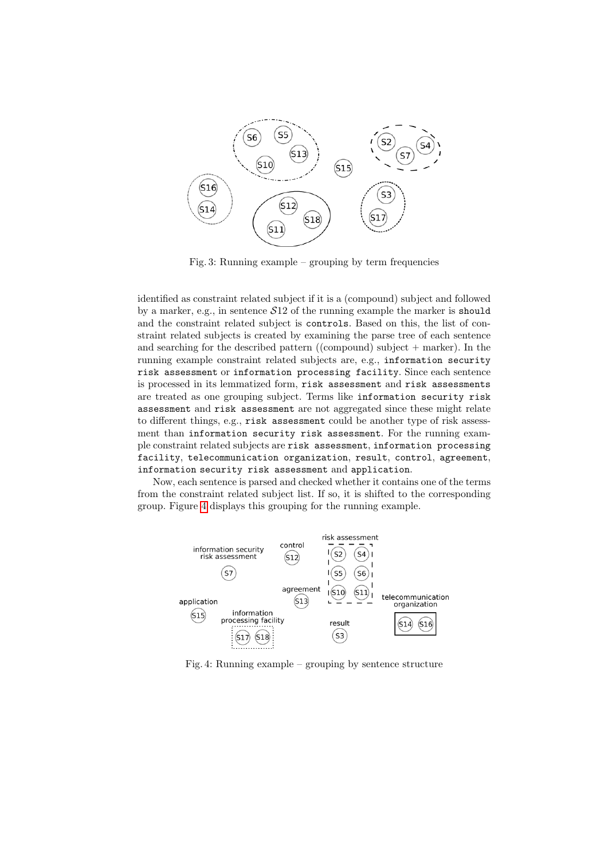<span id="page-5-0"></span>

Fig. 3: Running example – grouping by term frequencies

identified as constraint related subject if it is a (compound) subject and followed by a marker, e.g., in sentence  $S12$  of the running example the marker is should and the constraint related subject is controls. Based on this, the list of constraint related subjects is created by examining the parse tree of each sentence and searching for the described pattern ((compound) subject  $+$  marker). In the running example constraint related subjects are, e.g., information security risk assessment or information processing facility. Since each sentence is processed in its lemmatized form, risk assessment and risk assessments are treated as one grouping subject. Terms like information security risk assessment and risk assessment are not aggregated since these might relate to different things, e.g., risk assessment could be another type of risk assessment than information security risk assessment. For the running example constraint related subjects are risk assessment, information processing facility, telecommunication organization, result, control, agreement, information security risk assessment and application.

Now, each sentence is parsed and checked whether it contains one of the terms from the constraint related subject list. If so, it is shifted to the corresponding group. Figure [4](#page-5-1) displays this grouping for the running example.

<span id="page-5-1"></span>

Fig. 4: Running example – grouping by sentence structure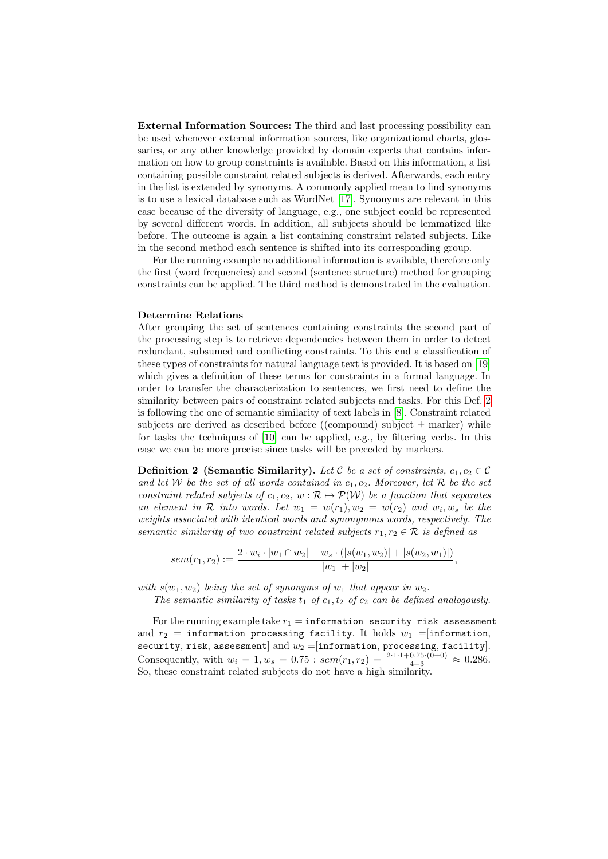External Information Sources: The third and last processing possibility can be used whenever external information sources, like organizational charts, glossaries, or any other knowledge provided by domain experts that contains information on how to group constraints is available. Based on this information, a list containing possible constraint related subjects is derived. Afterwards, each entry in the list is extended by synonyms. A commonly applied mean to find synonyms is to use a lexical database such as WordNet [\[17\]](#page-17-5). Synonyms are relevant in this case because of the diversity of language, e.g., one subject could be represented by several different words. In addition, all subjects should be lemmatized like before. The outcome is again a list containing constraint related subjects. Like in the second method each sentence is shifted into its corresponding group.

For the running example no additional information is available, therefore only the first (word frequencies) and second (sentence structure) method for grouping constraints can be applied. The third method is demonstrated in the evaluation.

#### Determine Relations

After grouping the set of sentences containing constraints the second part of the processing step is to retrieve dependencies between them in order to detect redundant, subsumed and conflicting constraints. To this end a classification of these types of constraints for natural language text is provided. It is based on [\[19\]](#page-17-6) which gives a definition of these terms for constraints in a formal language. In order to transfer the characterization to sentences, we first need to define the similarity between pairs of constraint related subjects and tasks. For this Def. [2](#page-6-0) is following the one of semantic similarity of text labels in [\[8\]](#page-16-5). Constraint related subjects are derived as described before ((compound) subject  $+$  marker) while for tasks the techniques of [\[10\]](#page-16-2) can be applied, e.g., by filtering verbs. In this case we can be more precise since tasks will be preceded by markers.

<span id="page-6-0"></span>**Definition 2** (Semantic Similarity). Let C be a set of constraints,  $c_1, c_2 \in \mathcal{C}$ and let W be the set of all words contained in  $c_1, c_2$ . Moreover, let R be the set constraint related subjects of  $c_1, c_2, w : \mathcal{R} \mapsto \mathcal{P}(\mathcal{W})$  be a function that separates an element in  $R$  into words. Let  $w_1 = w(r_1), w_2 = w(r_2)$  and  $w_i, w_s$  be the weights associated with identical words and synonymous words, respectively. The semantic similarity of two constraint related subjects  $r_1, r_2 \in \mathcal{R}$  is defined as

$$
sem(r_1, r_2) := \frac{2 \cdot w_i \cdot |w_1 \cap w_2| + w_s \cdot (|s(w_1, w_2)| + |s(w_2, w_1)|)}{|w_1| + |w_2|},
$$

with  $s(w_1, w_2)$  being the set of synonyms of  $w_1$  that appear in  $w_2$ .

The semantic similarity of tasks  $t_1$  of  $c_1$ ,  $t_2$  of  $c_2$  can be defined analogously.

For the running example take  $r_1 =$  information security risk assessment and  $r_2$  = information processing facility. It holds  $w_1$  = [information, security, risk, assessment and  $w_2 =$ [information, processing, facility]. Consequently, with  $w_i = 1, w_s = 0.75$ :  $sem(r_1, r_2) = \frac{2 \cdot 1 \cdot 1 + 0.75 \cdot (0+0)}{4+3} \approx 0.286$ . So, these constraint related subjects do not have a high similarity.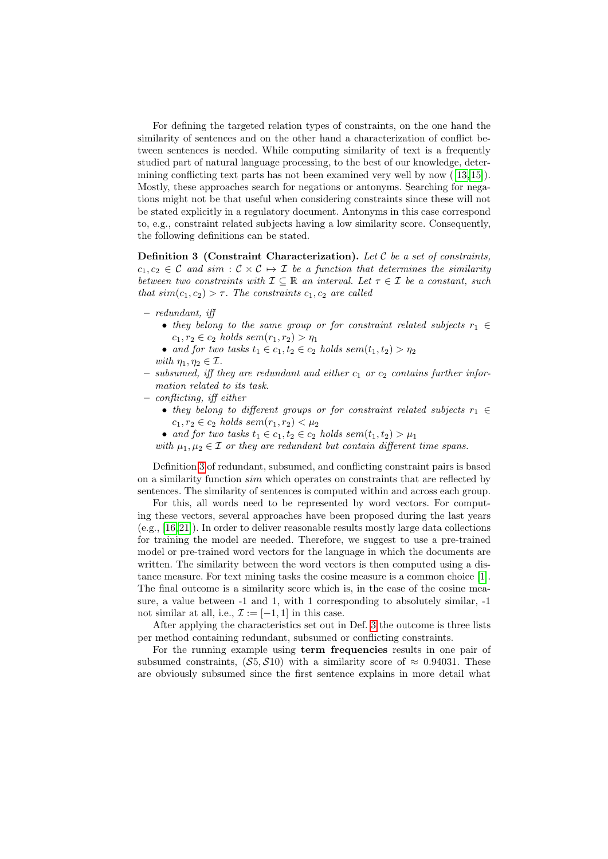For defining the targeted relation types of constraints, on the one hand the similarity of sentences and on the other hand a characterization of conflict between sentences is needed. While computing similarity of text is a frequently studied part of natural language processing, to the best of our knowledge, determining conflicting text parts has not been examined very well by now ([\[13,](#page-17-7) [15\]](#page-17-8)). Mostly, these approaches search for negations or antonyms. Searching for negations might not be that useful when considering constraints since these will not be stated explicitly in a regulatory document. Antonyms in this case correspond to, e.g., constraint related subjects having a low similarity score. Consequently, the following definitions can be stated.

<span id="page-7-0"></span>**Definition 3 (Constraint Characterization).** Let  $C$  be a set of constraints,  $c_1, c_2 \in \mathcal{C}$  and sim :  $\mathcal{C} \times \mathcal{C} \mapsto \mathcal{I}$  be a function that determines the similarity between two constraints with  $\mathcal{I} \subseteq \mathbb{R}$  an interval. Let  $\tau \in \mathcal{I}$  be a constant, such that  $sim(c_1, c_2) > \tau$ . The constraints  $c_1, c_2$  are called

- redundant, iff
	- they belong to the same group or for constraint related subjects  $r_1 \in$  $c_1, r_2 \in c_2$  holds  $sem(r_1, r_2) > \eta_1$
	- and for two tasks  $t_1 \in c_1, t_2 \in c_2$  holds  $sem(t_1, t_2) > \eta_2$
	- with  $\eta_1, \eta_2 \in \mathcal{I}$ .
- subsumed, iff they are redundant and either  $c_1$  or  $c_2$  contains further information related to its task.
- conflicting, iff either
	- they belong to different groups or for constraint related subjects  $r_1 \in$  $c_1, r_2 \in c_2$  holds sem $(r_1, r_2) < \mu_2$
	- and for two tasks  $t_1 \in c_1, t_2 \in c_2$  holds  $sem(t_1, t_2) > \mu_1$

with  $\mu_1, \mu_2 \in \mathcal{I}$  or they are redundant but contain different time spans.

Definition [3](#page-7-0) of redundant, subsumed, and conflicting constraint pairs is based on a similarity function *sim* which operates on constraints that are reflected by sentences. The similarity of sentences is computed within and across each group.

For this, all words need to be represented by word vectors. For computing these vectors, several approaches have been proposed during the last years (e.g., [\[16,](#page-17-9)[21\]](#page-17-10)). In order to deliver reasonable results mostly large data collections for training the model are needed. Therefore, we suggest to use a pre-trained model or pre-trained word vectors for the language in which the documents are written. The similarity between the word vectors is then computed using a distance measure. For text mining tasks the cosine measure is a common choice [\[1\]](#page-16-3). The final outcome is a similarity score which is, in the case of the cosine measure, a value between -1 and 1, with 1 corresponding to absolutely similar, -1 not similar at all, i.e.,  $\mathcal{I} := [-1, 1]$  in this case.

After applying the characteristics set out in Def. [3](#page-7-0) the outcome is three lists per method containing redundant, subsumed or conflicting constraints.

For the running example using term frequencies results in one pair of subsumed constraints,  $(S5, S10)$  with a similarity score of  $\approx 0.94031$ . These are obviously subsumed since the first sentence explains in more detail what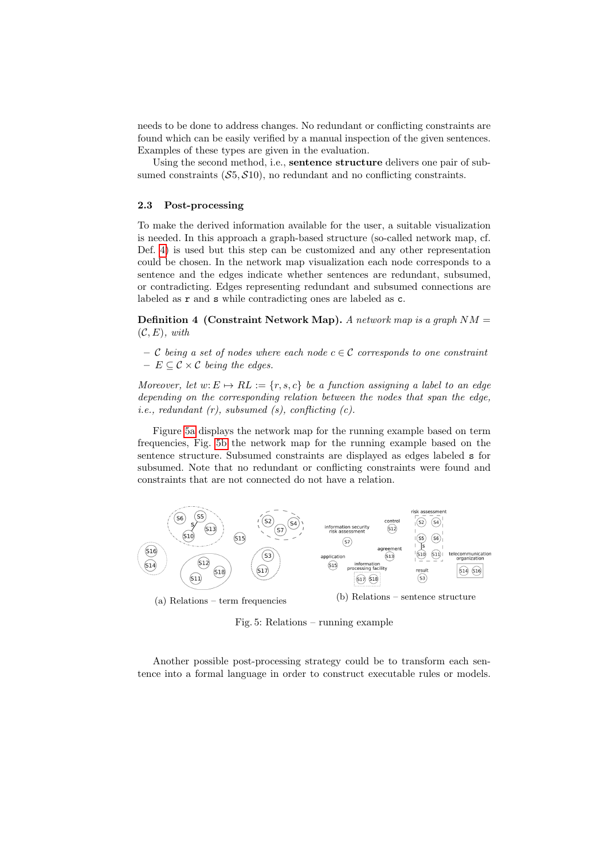needs to be done to address changes. No redundant or conflicting constraints are found which can be easily verified by a manual inspection of the given sentences. Examples of these types are given in the evaluation.

Using the second method, i.e., **sentence structure** delivers one pair of subsumed constraints  $(S5, S10)$ , no redundant and no conflicting constraints.

#### 2.3 Post-processing

To make the derived information available for the user, a suitable visualization is needed. In this approach a graph-based structure (so-called network map, cf. Def. [4\)](#page-8-0) is used but this step can be customized and any other representation could be chosen. In the network map visualization each node corresponds to a sentence and the edges indicate whether sentences are redundant, subsumed, or contradicting. Edges representing redundant and subsumed connections are labeled as **r** and **s** while contradicting ones are labeled as **c**.

<span id="page-8-0"></span>**Definition 4 (Constraint Network Map).** A network map is a graph  $NM =$  $(C, E)$ , with

 $−$  C being a set of nodes where each node  $c \in \mathcal{C}$  corresponds to one constraint  $- E \subseteq \mathcal{C} \times \mathcal{C}$  being the edges.

Moreover, let  $w: E \mapsto RL := \{r, s, c\}$  be a function assigning a label to an edge depending on the corresponding relation between the nodes that span the edge, *i.e.*, redundant  $(r)$ , subsumed  $(s)$ , conflicting  $(c)$ .

Figure [5a](#page-8-1) displays the network map for the running example based on term frequencies, Fig. [5b](#page-8-1) the network map for the running example based on the sentence structure. Subsumed constraints are displayed as edges labeled s for subsumed. Note that no redundant or conflicting constraints were found and constraints that are not connected do not have a relation.

<span id="page-8-1"></span>

Fig. 5: Relations – running example

Another possible post-processing strategy could be to transform each sentence into a formal language in order to construct executable rules or models.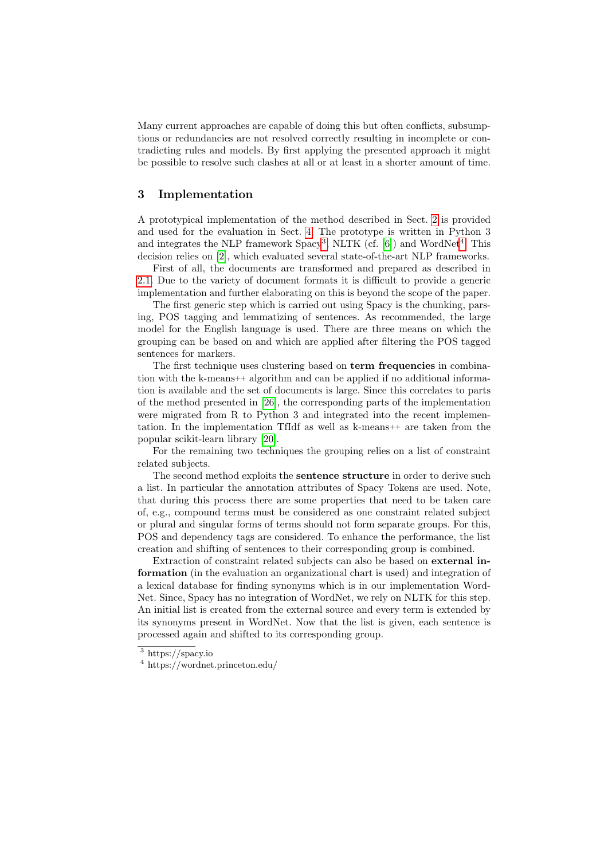Many current approaches are capable of doing this but often conflicts, subsumptions or redundancies are not resolved correctly resulting in incomplete or contradicting rules and models. By first applying the presented approach it might be possible to resolve such clashes at all or at least in a shorter amount of time.

## <span id="page-9-0"></span>3 Implementation

A prototypical implementation of the method described in Sect. [2](#page-1-0) is provided and used for the evaluation in Sect. [4.](#page-10-0) The prototype is written in Python 3 and integrates the NLP framework  $Spacy<sup>3</sup>$  $Spacy<sup>3</sup>$  $Spacy<sup>3</sup>$ , NLTK (cf. [\[6\]](#page-16-6)) and WordNet<sup>[4](#page-9-2)</sup>. This decision relies on [\[2\]](#page-16-7), which evaluated several state-of-the-art NLP frameworks.

First of all, the documents are transformed and prepared as described in [2.1.](#page-2-1) Due to the variety of document formats it is difficult to provide a generic implementation and further elaborating on this is beyond the scope of the paper.

The first generic step which is carried out using Spacy is the chunking, parsing, POS tagging and lemmatizing of sentences. As recommended, the large model for the English language is used. There are three means on which the grouping can be based on and which are applied after filtering the POS tagged sentences for markers.

The first technique uses clustering based on **term frequencies** in combination with the k-means++ algorithm and can be applied if no additional information is available and the set of documents is large. Since this correlates to parts of the method presented in [\[26\]](#page-17-4), the corresponding parts of the implementation were migrated from R to Python 3 and integrated into the recent implementation. In the implementation TfIdf as well as k-means++ are taken from the popular scikit-learn library [\[20\]](#page-17-11).

For the remaining two techniques the grouping relies on a list of constraint related subjects.

The second method exploits the **sentence structure** in order to derive such a list. In particular the annotation attributes of Spacy Tokens are used. Note, that during this process there are some properties that need to be taken care of, e.g., compound terms must be considered as one constraint related subject or plural and singular forms of terms should not form separate groups. For this, POS and dependency tags are considered. To enhance the performance, the list creation and shifting of sentences to their corresponding group is combined.

Extraction of constraint related subjects can also be based on external information (in the evaluation an organizational chart is used) and integration of a lexical database for finding synonyms which is in our implementation Word-Net. Since, Spacy has no integration of WordNet, we rely on NLTK for this step. An initial list is created from the external source and every term is extended by its synonyms present in WordNet. Now that the list is given, each sentence is processed again and shifted to its corresponding group.

<span id="page-9-1"></span> $\frac{3}{3}$  https://spacy.io

<span id="page-9-2"></span><sup>4</sup> https://wordnet.princeton.edu/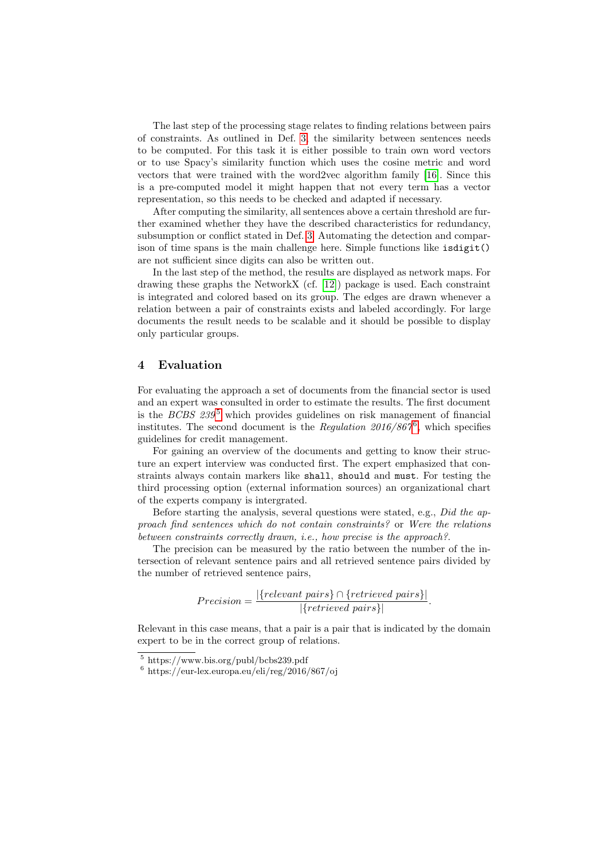The last step of the processing stage relates to finding relations between pairs of constraints. As outlined in Def. [3,](#page-7-0) the similarity between sentences needs to be computed. For this task it is either possible to train own word vectors or to use Spacy's similarity function which uses the cosine metric and word vectors that were trained with the word2vec algorithm family [\[16\]](#page-17-9). Since this is a pre-computed model it might happen that not every term has a vector representation, so this needs to be checked and adapted if necessary.

After computing the similarity, all sentences above a certain threshold are further examined whether they have the described characteristics for redundancy, subsumption or conflict stated in Def. [3.](#page-7-0) Automating the detection and comparison of time spans is the main challenge here. Simple functions like isdigit() are not sufficient since digits can also be written out.

In the last step of the method, the results are displayed as network maps. For drawing these graphs the NetworkX (cf. [\[12\]](#page-17-12)) package is used. Each constraint is integrated and colored based on its group. The edges are drawn whenever a relation between a pair of constraints exists and labeled accordingly. For large documents the result needs to be scalable and it should be possible to display only particular groups.

## <span id="page-10-0"></span>4 Evaluation

For evaluating the approach a set of documents from the financial sector is used and an expert was consulted in order to estimate the results. The first document is the BCBS  $239^5$  $239^5$  which provides guidelines on risk management of financial institutes. The second document is the Regulation  $2016/867^6$  $2016/867^6$  $2016/867^6$ , which specifies guidelines for credit management.

For gaining an overview of the documents and getting to know their structure an expert interview was conducted first. The expert emphasized that constraints always contain markers like shall, should and must. For testing the third processing option (external information sources) an organizational chart of the experts company is intergrated.

Before starting the analysis, several questions were stated, e.g., Did the approach find sentences which do not contain constraints? or Were the relations between constraints correctly drawn, i.e., how precise is the approach?.

The precision can be measured by the ratio between the number of the intersection of relevant sentence pairs and all retrieved sentence pairs divided by the number of retrieved sentence pairs,

$$
Precision = \frac{|\{relevant \ pairs\} \cap \{retrieved \ pairs\}|}{|\{retrieved \ pairs\}|}.
$$

Relevant in this case means, that a pair is a pair that is indicated by the domain expert to be in the correct group of relations.

<span id="page-10-1"></span><sup>5</sup> https://www.bis.org/publ/bcbs239.pdf

<span id="page-10-2"></span><sup>6</sup> https://eur-lex.europa.eu/eli/reg/2016/867/oj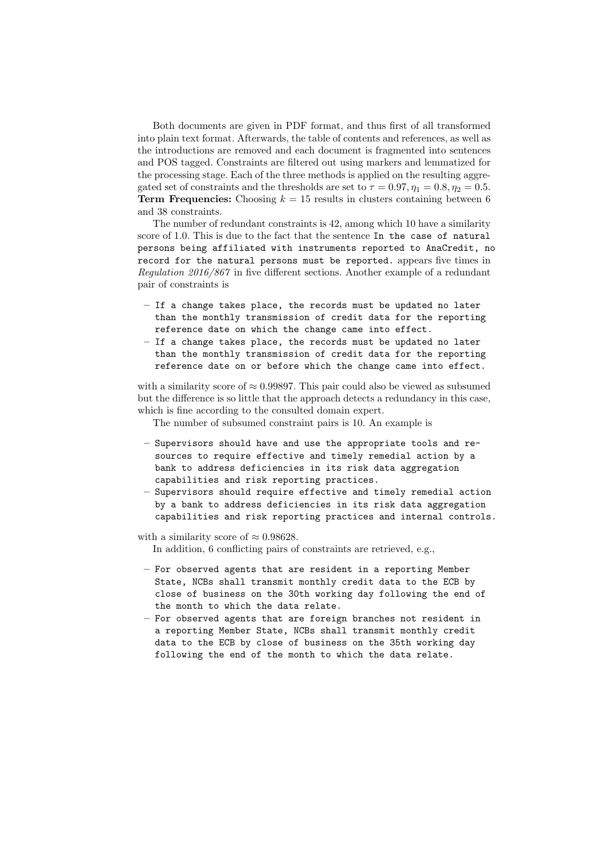Both documents are given in PDF format, and thus first of all transformed into plain text format. Afterwards, the table of contents and references, as well as the introductions are removed and each document is fragmented into sentences and POS tagged. Constraints are filtered out using markers and lemmatized for the processing stage. Each of the three methods is applied on the resulting aggregated set of constraints and the thresholds are set to  $\tau = 0.97, \eta_1 = 0.8, \eta_2 = 0.5$ . **Term Frequencies:** Choosing  $k = 15$  results in clusters containing between 6 and 38 constraints.

The number of redundant constraints is 42, among which 10 have a similarity score of 1.0. This is due to the fact that the sentence In the case of natural persons being affiliated with instruments reported to AnaCredit, no record for the natural persons must be reported. appears five times in Regulation 2016/867 in five different sections. Another example of a redundant pair of constraints is

- If a change takes place, the records must be updated no later than the monthly transmission of credit data for the reporting reference date on which the change came into effect.
- If a change takes place, the records must be updated no later than the monthly transmission of credit data for the reporting reference date on or before which the change came into effect.

with a similarity score of  $\approx 0.99897$ . This pair could also be viewed as subsumed but the difference is so little that the approach detects a redundancy in this case, which is fine according to the consulted domain expert.

The number of subsumed constraint pairs is 10. An example is

- Supervisors should have and use the appropriate tools and resources to require effective and timely remedial action by a bank to address deficiencies in its risk data aggregation capabilities and risk reporting practices.
- Supervisors should require effective and timely remedial action by a bank to address deficiencies in its risk data aggregation capabilities and risk reporting practices and internal controls.

with a similarity score of  $\approx 0.98628$ .

In addition, 6 conflicting pairs of constraints are retrieved, e.g.,

- For observed agents that are resident in a reporting Member State, NCBs shall transmit monthly credit data to the ECB by close of business on the 30th working day following the end of the month to which the data relate.
- For observed agents that are foreign branches not resident in a reporting Member State, NCBs shall transmit monthly credit data to the ECB by close of business on the 35th working day following the end of the month to which the data relate.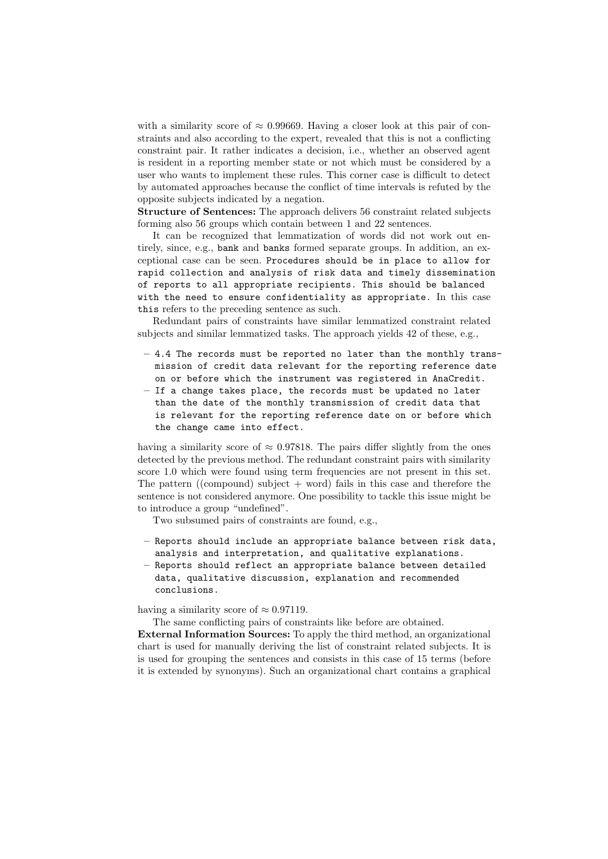with a similarity score of  $\approx 0.99669$ . Having a closer look at this pair of constraints and also according to the expert, revealed that this is not a conflicting constraint pair. It rather indicates a decision, i.e., whether an observed agent is resident in a reporting member state or not which must be considered by a user who wants to implement these rules. This corner case is difficult to detect by automated approaches because the conflict of time intervals is refuted by the opposite subjects indicated by a negation.

Structure of Sentences: The approach delivers 56 constraint related subjects forming also 56 groups which contain between 1 and 22 sentences.

It can be recognized that lemmatization of words did not work out entirely, since, e.g., bank and banks formed separate groups. In addition, an exceptional case can be seen. Procedures should be in place to allow for rapid collection and analysis of risk data and timely dissemination of reports to all appropriate recipients. This should be balanced with the need to ensure confidentiality as appropriate. In this case this refers to the preceding sentence as such.

Redundant pairs of constraints have similar lemmatized constraint related subjects and similar lemmatized tasks. The approach yields 42 of these, e.g.,

- $-4.4$  The records must be reported no later than the monthly transmission of credit data relevant for the reporting reference date on or before which the instrument was registered in AnaCredit.
- If a change takes place, the records must be updated no later than the date of the monthly transmission of credit data that is relevant for the reporting reference date on or before which the change came into effect.

having a similarity score of  $\approx 0.97818$ . The pairs differ slightly from the ones detected by the previous method. The redundant constraint pairs with similarity score 1.0 which were found using term frequencies are not present in this set. The pattern ((compound) subject  $+$  word) fails in this case and therefore the sentence is not considered anymore. One possibility to tackle this issue might be to introduce a group "undefined".

Two subsumed pairs of constraints are found, e.g.,

- Reports should include an appropriate balance between risk data, analysis and interpretation, and qualitative explanations.
- Reports should reflect an appropriate balance between detailed data, qualitative discussion, explanation and recommended conclusions.

having a similarity score of  $\approx 0.97119$ .

The same conflicting pairs of constraints like before are obtained. External Information Sources: To apply the third method, an organizational

chart is used for manually deriving the list of constraint related subjects. It is is used for grouping the sentences and consists in this case of 15 terms (before it is extended by synonyms). Such an organizational chart contains a graphical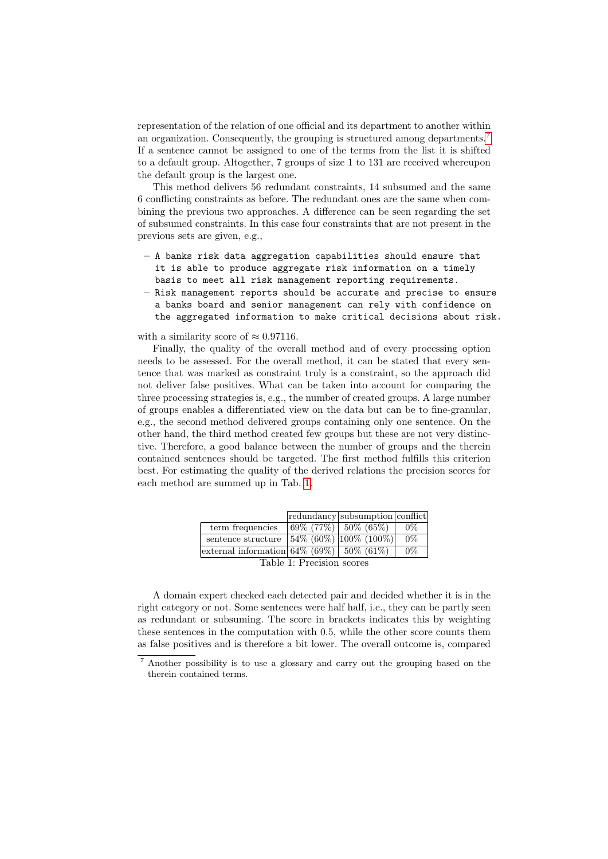representation of the relation of one official and its department to another within an organization. Consequently, the grouping is structured among departments.[7](#page-13-0) If a sentence cannot be assigned to one of the terms from the list it is shifted to a default group. Altogether, 7 groups of size 1 to 131 are received whereupon the default group is the largest one.

This method delivers 56 redundant constraints, 14 subsumed and the same 6 conflicting constraints as before. The redundant ones are the same when combining the previous two approaches. A difference can be seen regarding the set of subsumed constraints. In this case four constraints that are not present in the previous sets are given, e.g.,

- A banks risk data aggregation capabilities should ensure that it is able to produce aggregate risk information on a timely basis to meet all risk management reporting requirements.
- Risk management reports should be accurate and precise to ensure a banks board and senior management can rely with confidence on the aggregated information to make critical decisions about risk.

with a similarity score of  $\approx 0.97116$ .

Finally, the quality of the overall method and of every processing option needs to be assessed. For the overall method, it can be stated that every sentence that was marked as constraint truly is a constraint, so the approach did not deliver false positives. What can be taken into account for comparing the three processing strategies is, e.g., the number of created groups. A large number of groups enables a differentiated view on the data but can be to fine-granular, e.g., the second method delivered groups containing only one sentence. On the other hand, the third method created few groups but these are not very distinctive. Therefore, a good balance between the number of groups and the therein contained sentences should be targeted. The first method fulfills this criterion best. For estimating the quality of the derived relations the precision scores for each method are summed up in Tab. [1.](#page-13-1)

<span id="page-13-1"></span>

|                                                 |  | redundancy subsumption conflict            |       |
|-------------------------------------------------|--|--------------------------------------------|-------|
| term frequencies                                |  | $\boxed{69\% (77\%)}$ 50\% (65\%)          | $0\%$ |
| sentence structure                              |  | $\left[54\% (60\%) (100\% (100\%) \right]$ | $0\%$ |
| external information $64\% (69\%)$ 50% $(61\%)$ |  |                                            | $0\%$ |
| Table 1: Precision scores                       |  |                                            |       |

Table 1: Precision scores

A domain expert checked each detected pair and decided whether it is in the right category or not. Some sentences were half half, i.e., they can be partly seen as redundant or subsuming. The score in brackets indicates this by weighting these sentences in the computation with 0.5, while the other score counts them as false positives and is therefore a bit lower. The overall outcome is, compared

<span id="page-13-0"></span><sup>7</sup> Another possibility is to use a glossary and carry out the grouping based on the therein contained terms.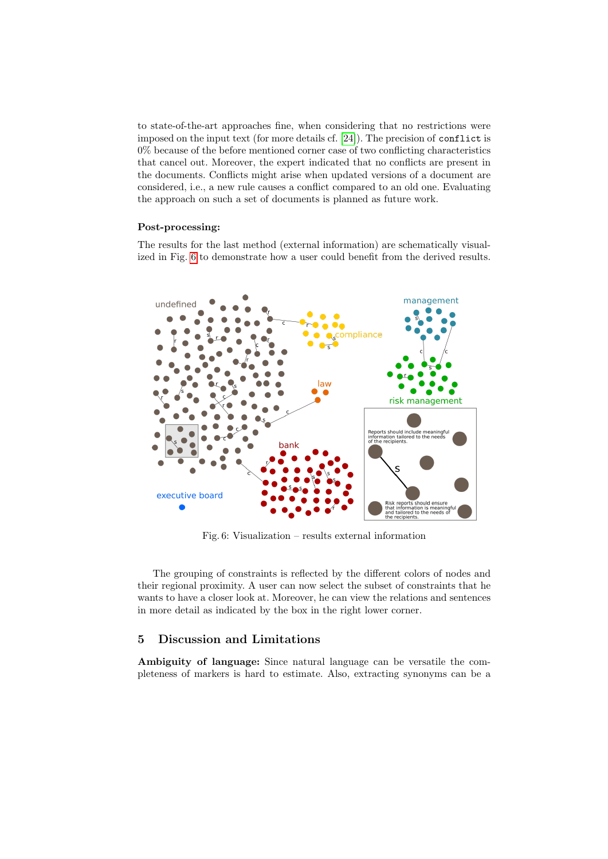to state-of-the-art approaches fine, when considering that no restrictions were imposed on the input text (for more details cf. [\[24\]](#page-17-13)). The precision of conflict is 0% because of the before mentioned corner case of two conflicting characteristics that cancel out. Moreover, the expert indicated that no conflicts are present in the documents. Conflicts might arise when updated versions of a document are considered, i.e., a new rule causes a conflict compared to an old one. Evaluating the approach on such a set of documents is planned as future work.

#### Post-processing:

The results for the last method (external information) are schematically visualized in Fig. [6](#page-14-1) to demonstrate how a user could benefit from the derived results.

<span id="page-14-1"></span>

Fig. 6: Visualization – results external information

The grouping of constraints is reflected by the different colors of nodes and their regional proximity. A user can now select the subset of constraints that he wants to have a closer look at. Moreover, he can view the relations and sentences in more detail as indicated by the box in the right lower corner.

## <span id="page-14-0"></span>5 Discussion and Limitations

Ambiguity of language: Since natural language can be versatile the completeness of markers is hard to estimate. Also, extracting synonyms can be a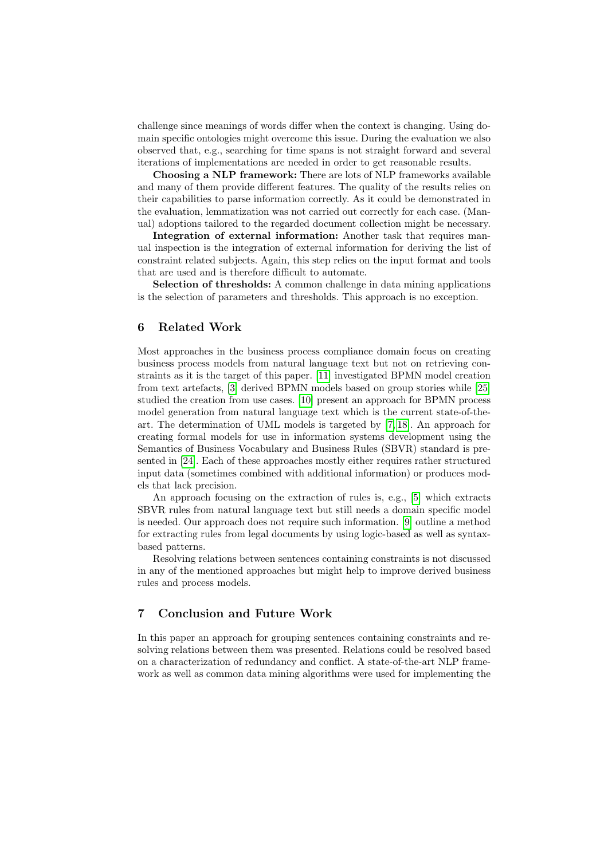challenge since meanings of words differ when the context is changing. Using domain specific ontologies might overcome this issue. During the evaluation we also observed that, e.g., searching for time spans is not straight forward and several iterations of implementations are needed in order to get reasonable results.

Choosing a NLP framework: There are lots of NLP frameworks available and many of them provide different features. The quality of the results relies on their capabilities to parse information correctly. As it could be demonstrated in the evaluation, lemmatization was not carried out correctly for each case. (Manual) adoptions tailored to the regarded document collection might be necessary.

Integration of external information: Another task that requires manual inspection is the integration of external information for deriving the list of constraint related subjects. Again, this step relies on the input format and tools that are used and is therefore difficult to automate.

Selection of thresholds: A common challenge in data mining applications is the selection of parameters and thresholds. This approach is no exception.

## <span id="page-15-0"></span>6 Related Work

Most approaches in the business process compliance domain focus on creating business process models from natural language text but not on retrieving constraints as it is the target of this paper. [\[11\]](#page-17-14) investigated BPMN model creation from text artefacts, [\[3\]](#page-16-0) derived BPMN models based on group stories while [\[25\]](#page-17-15) studied the creation from use cases. [\[10\]](#page-16-2) present an approach for BPMN process model generation from natural language text which is the current state-of-theart. The determination of UML models is targeted by [\[7,](#page-16-8) [18\]](#page-17-1). An approach for creating formal models for use in information systems development using the Semantics of Business Vocabulary and Business Rules (SBVR) standard is presented in [\[24\]](#page-17-13). Each of these approaches mostly either requires rather structured input data (sometimes combined with additional information) or produces models that lack precision.

An approach focusing on the extraction of rules is, e.g., [\[5\]](#page-16-1) which extracts SBVR rules from natural language text but still needs a domain specific model is needed. Our approach does not require such information. [\[9\]](#page-16-9) outline a method for extracting rules from legal documents by using logic-based as well as syntaxbased patterns.

Resolving relations between sentences containing constraints is not discussed in any of the mentioned approaches but might help to improve derived business rules and process models.

# <span id="page-15-1"></span>7 Conclusion and Future Work

In this paper an approach for grouping sentences containing constraints and resolving relations between them was presented. Relations could be resolved based on a characterization of redundancy and conflict. A state-of-the-art NLP framework as well as common data mining algorithms were used for implementing the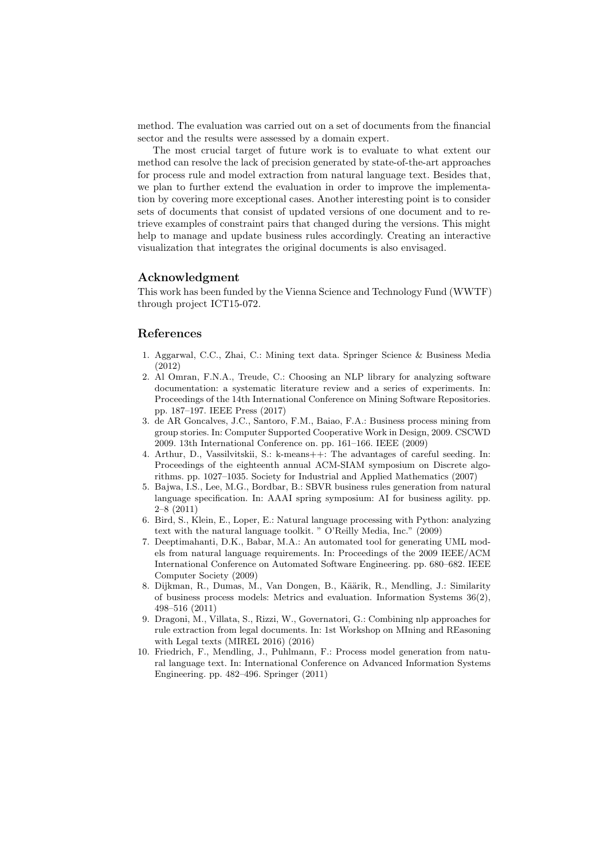method. The evaluation was carried out on a set of documents from the financial sector and the results were assessed by a domain expert.

The most crucial target of future work is to evaluate to what extent our method can resolve the lack of precision generated by state-of-the-art approaches for process rule and model extraction from natural language text. Besides that, we plan to further extend the evaluation in order to improve the implementation by covering more exceptional cases. Another interesting point is to consider sets of documents that consist of updated versions of one document and to retrieve examples of constraint pairs that changed during the versions. This might help to manage and update business rules accordingly. Creating an interactive visualization that integrates the original documents is also envisaged.

## Acknowledgment

This work has been funded by the Vienna Science and Technology Fund (WWTF) through project ICT15-072.

# References

- <span id="page-16-3"></span>1. Aggarwal, C.C., Zhai, C.: Mining text data. Springer Science & Business Media (2012)
- <span id="page-16-7"></span>2. Al Omran, F.N.A., Treude, C.: Choosing an NLP library for analyzing software documentation: a systematic literature review and a series of experiments. In: Proceedings of the 14th International Conference on Mining Software Repositories. pp. 187–197. IEEE Press (2017)
- <span id="page-16-0"></span>3. de AR Goncalves, J.C., Santoro, F.M., Baiao, F.A.: Business process mining from group stories. In: Computer Supported Cooperative Work in Design, 2009. CSCWD 2009. 13th International Conference on. pp. 161–166. IEEE (2009)
- <span id="page-16-4"></span>4. Arthur, D., Vassilvitskii, S.: k-means++: The advantages of careful seeding. In: Proceedings of the eighteenth annual ACM-SIAM symposium on Discrete algorithms. pp. 1027–1035. Society for Industrial and Applied Mathematics (2007)
- <span id="page-16-1"></span>5. Bajwa, I.S., Lee, M.G., Bordbar, B.: SBVR business rules generation from natural language specification. In: AAAI spring symposium: AI for business agility. pp. 2–8 (2011)
- <span id="page-16-6"></span>6. Bird, S., Klein, E., Loper, E.: Natural language processing with Python: analyzing text with the natural language toolkit. " O'Reilly Media, Inc." (2009)
- <span id="page-16-8"></span>7. Deeptimahanti, D.K., Babar, M.A.: An automated tool for generating UML models from natural language requirements. In: Proceedings of the 2009 IEEE/ACM International Conference on Automated Software Engineering. pp. 680–682. IEEE Computer Society (2009)
- <span id="page-16-5"></span>8. Dijkman, R., Dumas, M., Van Dongen, B., Käärik, R., Mendling, J.: Similarity of business process models: Metrics and evaluation. Information Systems 36(2), 498–516 (2011)
- <span id="page-16-9"></span>9. Dragoni, M., Villata, S., Rizzi, W., Governatori, G.: Combining nlp approaches for rule extraction from legal documents. In: 1st Workshop on MIning and REasoning with Legal texts (MIREL 2016) (2016)
- <span id="page-16-2"></span>10. Friedrich, F., Mendling, J., Puhlmann, F.: Process model generation from natural language text. In: International Conference on Advanced Information Systems Engineering. pp. 482–496. Springer (2011)